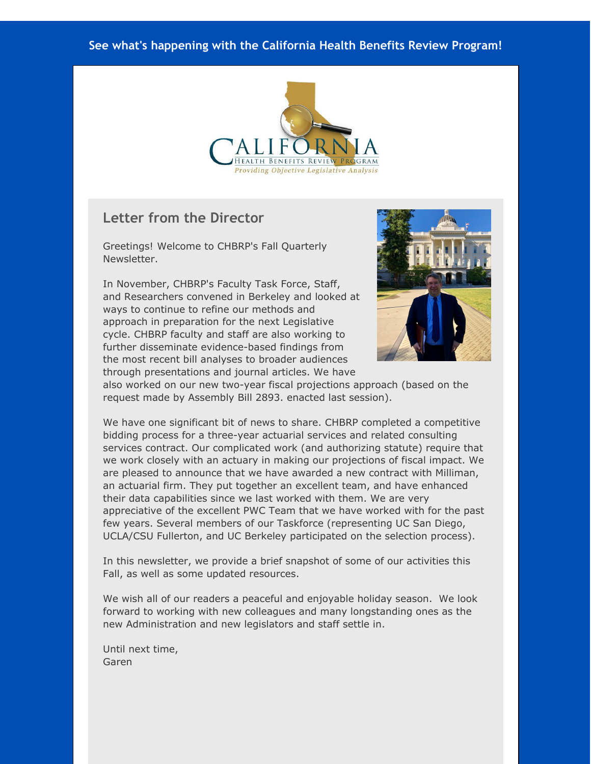#### **See what's happening with the California Health Benefits Review Program!**



#### **Letter from the Director**

Greetings! Welcome to CHBRP's Fall Quarterly Newsletter.

In November, CHBRP's Faculty Task Force, Staff, and Researchers convened in Berkeley and looked at ways to continue to refine our methods and approach in preparation for the next Legislative cycle. CHBRP faculty and staff are also working to further disseminate evidence-based findings from the most recent bill analyses to broader audiences through presentations and journal articles. We have



also worked on our new two-year fiscal projections approach (based on the request made by Assembly Bill 2893. enacted last session).

We have one significant bit of news to share. CHBRP completed a competitive bidding process for a three-year actuarial services and related consulting services contract. Our complicated work (and authorizing statute) require that we work closely with an actuary in making our projections of fiscal impact. We are pleased to announce that we have awarded a new contract with Milliman, an actuarial firm. They put together an excellent team, and have enhanced their data capabilities since we last worked with them. We are very appreciative of the excellent PWC Team that we have worked with for the past few years. Several members of our Taskforce (representing UC San Diego, UCLA/CSU Fullerton, and UC Berkeley participated on the selection process).

In this newsletter, we provide a brief snapshot of some of our activities this Fall, as well as some updated resources.

We wish all of our readers a peaceful and enjoyable holiday season. We look forward to working with new colleagues and many longstanding ones as the new Administration and new legislators and staff settle in.

Until next time, Garen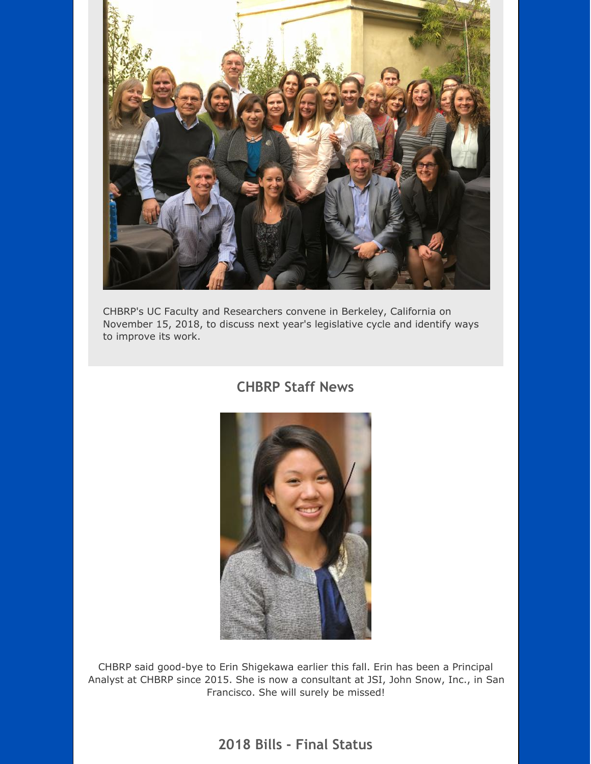

CHBRP's UC Faculty and Researchers convene in Berkeley, California on November 15, 2018, to discuss next year's legislative cycle and identify ways to improve its work.

### **CHBRP Staff News**



CHBRP said good-bye to Erin Shigekawa earlier this fall. Erin has been a Principal Analyst at CHBRP since 2015. She is now a consultant at JSI, John Snow, Inc., in San Francisco. She will surely be missed!

### **2018 Bills - Final Status**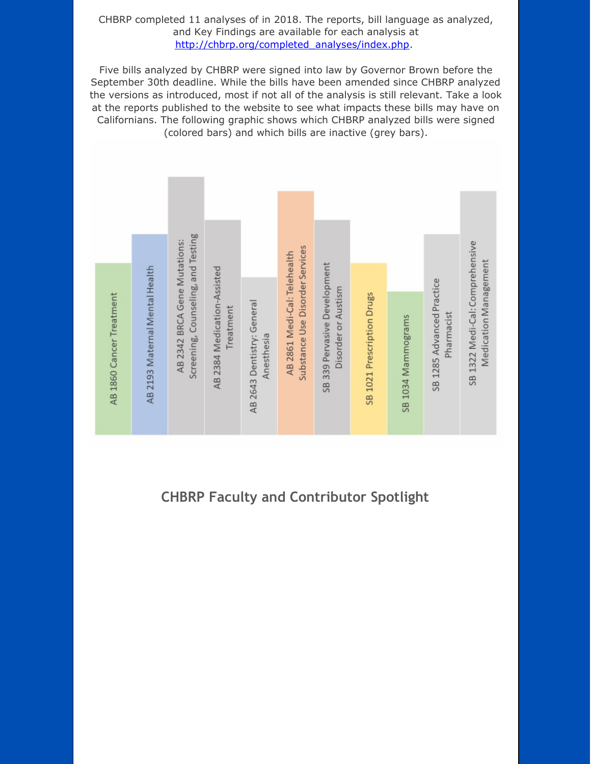#### CHBRP completed 11 analyses of in 2018. The reports, bill language as analyzed, and Key Findings are available for each analysis at [http://chbrp.org/completed\\_analyses/index.php](http://r20.rs6.net/tn.jsp?f=001wTEf5lM3wQTRhKk8TSqwRv0IrV-7RQTcZdvp2GwqXUfVUhAZFh4FwlZzwyt-uoOaZ4kWnFHxJbE03uiBkDtY-Z_0NLZypJVBbfkKcJvFJm5ArA_EjG6YUrnfeJfO_-vbbP4OySlD-jOGxw7sFonAWGApjVbIlOrs6Znlt4ICPiATpHbGRrWF8KHcuJ8b2xfCouuR-IZZfT0ZYGIAqCF2u23qPWiqtc0XW-0fS3GnWkvP785EEJO8iyrTaoSX2OSBe6PMWnEbg4y-CxdYRkkBFbtBA6JDCsdRkMQJ0k4262_UHWY8T12_wCTN1NtI7d-LGaTyEVmCYuuaZzBpTF0tjmEHXlipkQ_a&c=&ch=).

Five bills analyzed by CHBRP were signed into law by Governor Brown before the September 30th deadline. While the bills have been amended since CHBRP analyzed the versions as introduced, most if not all of the analysis is still relevant. Take a look at the reports published to the website to see what impacts these bills may have on Californians. The following graphic shows which CHBRP analyzed bills were signed (colored bars) and which bills are inactive (grey bars).



# **CHBRP Faculty and Contributor Spotlight**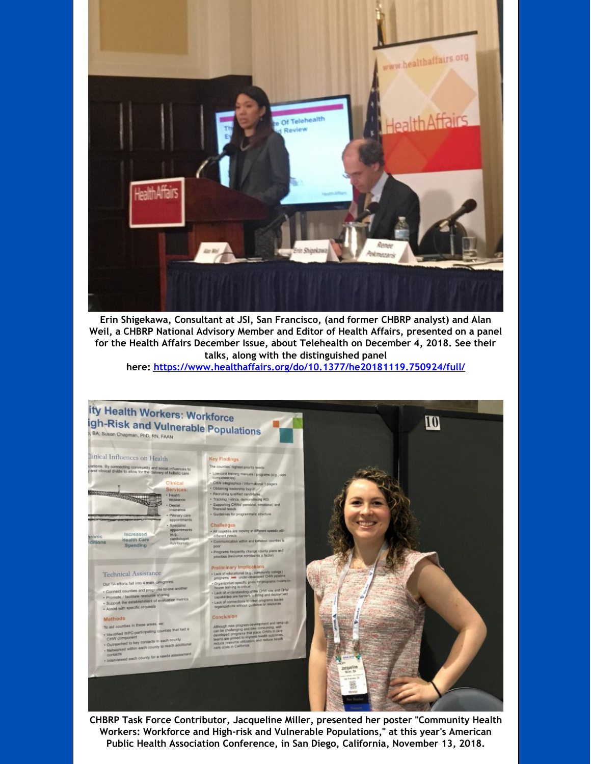

**Erin Shigekawa, Consultant at JSI, San Francisco, (and former CHBRP analyst) and Alan Weil, a CHBRP National Advisory Member and Editor of Health Affairs, presented on a panel for the Health Affairs December Issue, about Telehealth on December 4, 2018. See their talks, along with the distinguished panel here: [https://www.healthaffairs.org/do/10.1377/he20181119.750924/full/](http://r20.rs6.net/tn.jsp?f=001wTEf5lM3wQTRhKk8TSqwRv0IrV-7RQTcZdvp2GwqXUfVUhAZFh4FwvnP9ZrMlXiQPQXSc8rVXH_RkCDrIpQZfDYgGb_ep29FA9YGn2C1nJiq3mOR4jFO4QSiwTaohdDAY0zt7Vw0S10uRras57GcQwgpq9rH64gXvPiJ8fd4ae6Gz2s9f28wpyZ2Gk6jEAQg4CQ6ZsMk5fmN11RBBNfB1FghWv_cbnTLEK3m7_a2f8ZqfYxd6KPasmmas1UYIhTHzbBzvHqxCdDUdlmHUZcV-wl1G9Tii9exEun74JWV-EpjxFD5iq_DW4fLyACGN4iTjEpelUSkcpWlWP_Ji_lWcoLkGh3Oe1UpsJgdR3fR4PYdx1S29MBQbEarxF_ZZqOH&c=&ch=)**



**CHBRP Task Force Contributor, Jacqueline Miller, presented her poster "Community Health Workers: Workforce and High-risk and Vulnerable Populations," at this year's American Public Health Association Conference, in San Diego, California, November 13, 2018.**